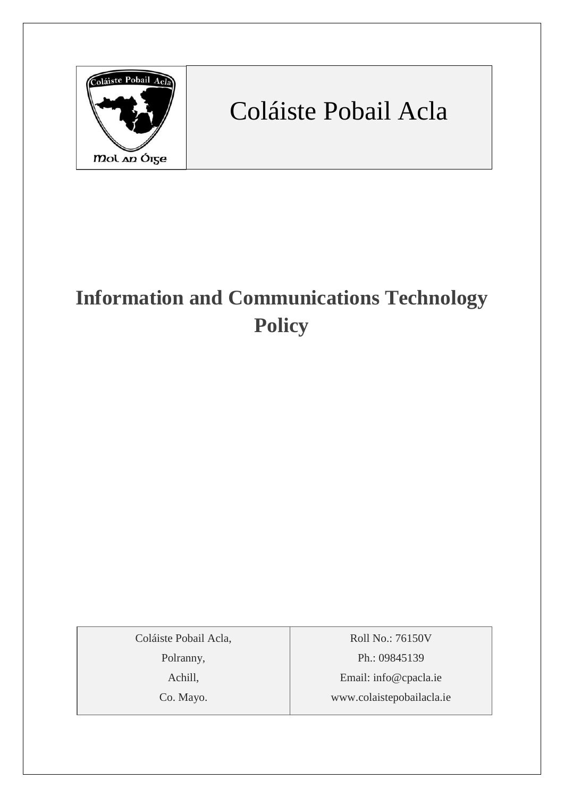

# Coláiste Pobail Acla

## **Information and Communications Technology Policy**

Coláiste Pobail Acla,

Polranny,

Achill,

Co. Mayo.

Roll No.: 76150V Ph.: 09845139 Email: [info@cpacla.ie](mailto:info@cpacla.ie) www.colaistepobailacla.ie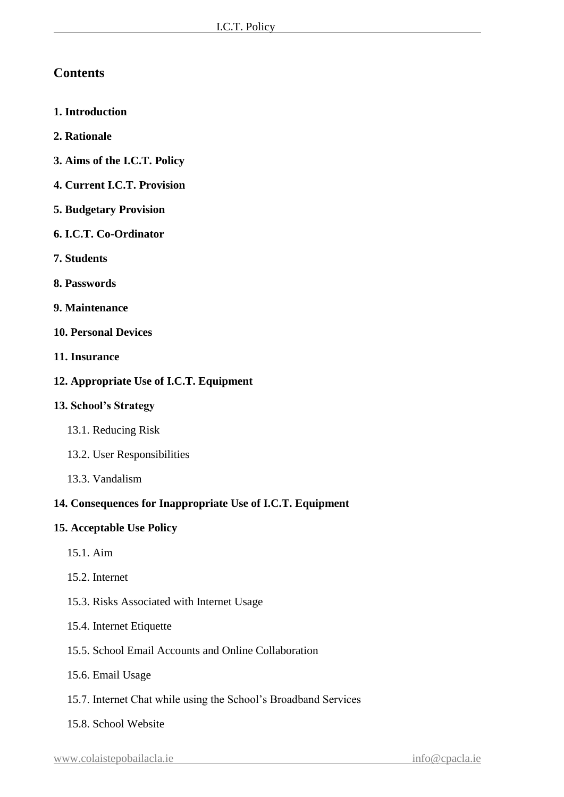## **Contents**

- **1. Introduction**
- **2. Rationale**
- **3. Aims of the I.C.T. Policy**
- **4. Current I.C.T. Provision**
- **5. Budgetary Provision**
- **6. I.C.T. Co-Ordinator**
- **7. Students**
- **8. Passwords**
- **9. Maintenance**
- **10. Personal Devices**
- **11. Insurance**
- **12. Appropriate Use of I.C.T. Equipment**

#### **13. School's Strategy**

- 13.1. Reducing Risk
- 13.2. User Responsibilities
- 13.3. Vandalism

#### **14. Consequences for Inappropriate Use of I.C.T. Equipment**

#### **15. Acceptable Use Policy**

- 15.1. Aim
- 15.2. Internet
- 15.3. Risks Associated with Internet Usage
- 15.4. Internet Etiquette
- 15.5. School Email Accounts and Online Collaboration
- 15.6. Email Usage
- 15.7. Internet Chat while using the School's Broadband Services
- 15.8. School Website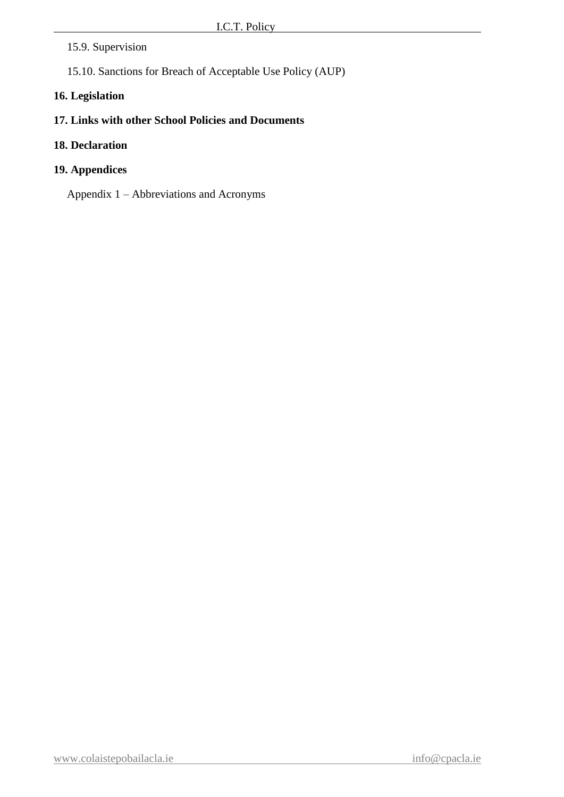#### 15.9. Supervision

15.10. Sanctions for Breach of Acceptable Use Policy (AUP)

#### **16. Legislation**

## **17. Links with other School Policies and Documents**

#### **18. Declaration**

#### **19. Appendices**

Appendix 1 – Abbreviations and Acronyms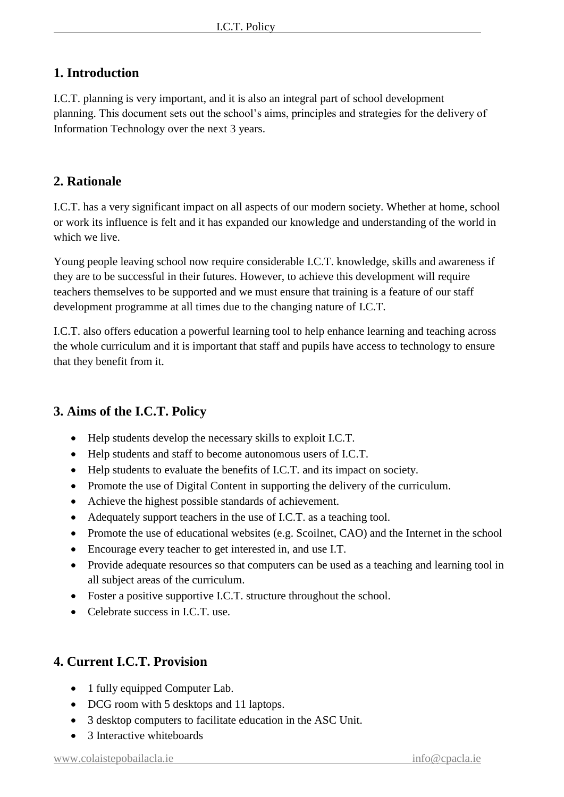## **1. Introduction**

I.C.T. planning is very important, and it is also an integral part of school development planning. This document sets out the school's aims, principles and strategies for the delivery of Information Technology over the next 3 years.

## **2. Rationale**

I.C.T. has a very significant impact on all aspects of our modern society. Whether at home, school or work its influence is felt and it has expanded our knowledge and understanding of the world in which we live.

Young people leaving school now require considerable I.C.T. knowledge, skills and awareness if they are to be successful in their futures. However, to achieve this development will require teachers themselves to be supported and we must ensure that training is a feature of our staff development programme at all times due to the changing nature of I.C.T.

I.C.T. also offers education a powerful learning tool to help enhance learning and teaching across the whole curriculum and it is important that staff and pupils have access to technology to ensure that they benefit from it.

## **3. Aims of the I.C.T. Policy**

- Help students develop the necessary skills to exploit I.C.T.
- Help students and staff to become autonomous users of I.C.T.
- Help students to evaluate the benefits of I.C.T. and its impact on society.
- Promote the use of Digital Content in supporting the delivery of the curriculum.
- Achieve the highest possible standards of achievement.
- Adequately support teachers in the use of I.C.T. as a teaching tool.
- Promote the use of educational websites (e.g. Scoilnet, CAO) and the Internet in the school
- Encourage every teacher to get interested in, and use I.T.
- Provide adequate resources so that computers can be used as a teaching and learning tool in all subject areas of the curriculum.
- Foster a positive supportive I.C.T. structure throughout the school.
- Celebrate success in LC.T. use.

## **4. Current I.C.T. Provision**

- 1 fully equipped Computer Lab.
- DCG room with 5 desktops and 11 laptops.
- 3 desktop computers to facilitate education in the ASC Unit.
- 3 Interactive whiteboards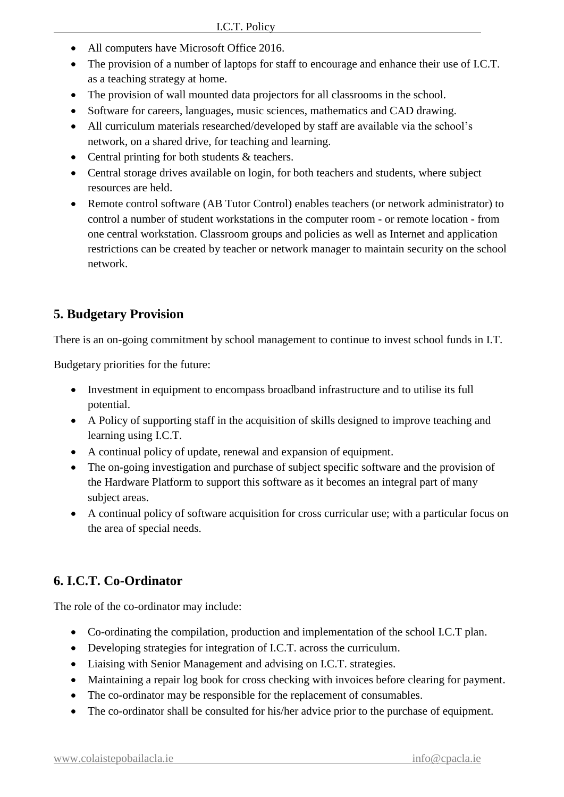- All computers have Microsoft Office 2016.
- The provision of a number of laptops for staff to encourage and enhance their use of I.C.T. as a teaching strategy at home.
- The provision of wall mounted data projectors for all classrooms in the school.
- Software for careers, languages, music sciences, mathematics and CAD drawing.
- All curriculum materials researched/developed by staff are available via the school's network, on a shared drive, for teaching and learning.
- Central printing for both students & teachers.
- Central storage drives available on login, for both teachers and students, where subject resources are held.
- Remote control software (AB Tutor Control) enables teachers (or network administrator) to control a number of student workstations in the computer room - or remote location - from one central workstation. Classroom groups and policies as well as Internet and application restrictions can be created by teacher or network manager to maintain security on the school network.

## **5. Budgetary Provision**

There is an on-going commitment by school management to continue to invest school funds in I.T.

Budgetary priorities for the future:

- Investment in equipment to encompass broadband infrastructure and to utilise its full potential.
- A Policy of supporting staff in the acquisition of skills designed to improve teaching and learning using I.C.T.
- A continual policy of update, renewal and expansion of equipment.
- The on-going investigation and purchase of subject specific software and the provision of the Hardware Platform to support this software as it becomes an integral part of many subject areas.
- A continual policy of software acquisition for cross curricular use; with a particular focus on the area of special needs.

## **6. I.C.T. Co-Ordinator**

The role of the co-ordinator may include:

- Co-ordinating the compilation, production and implementation of the school I.C.T plan.
- Developing strategies for integration of I.C.T. across the curriculum.
- Liaising with Senior Management and advising on I.C.T. strategies.
- Maintaining a repair log book for cross checking with invoices before clearing for payment.
- The co-ordinator may be responsible for the replacement of consumables.
- The co-ordinator shall be consulted for his/her advice prior to the purchase of equipment.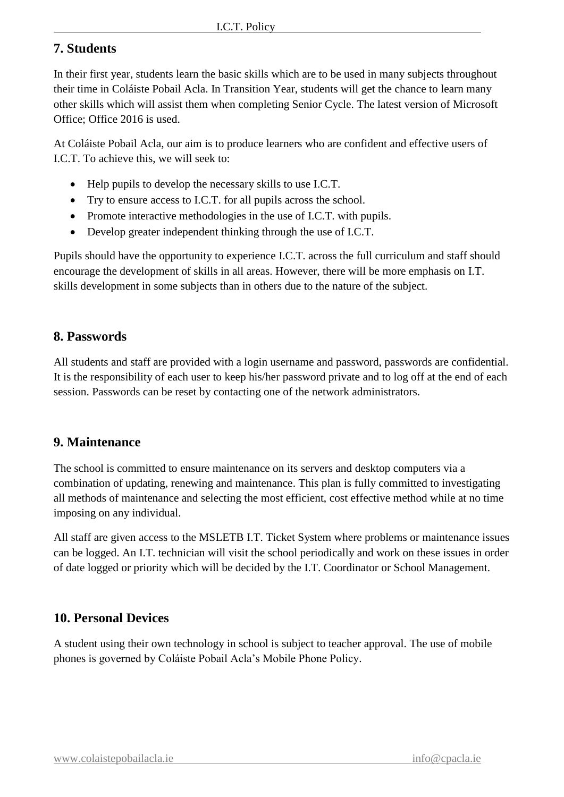## **7. Students**

In their first year, students learn the basic skills which are to be used in many subjects throughout their time in Coláiste Pobail Acla. In Transition Year, students will get the chance to learn many other skills which will assist them when completing Senior Cycle. The latest version of Microsoft Office; Office 2016 is used.

At Coláiste Pobail Acla, our aim is to produce learners who are confident and effective users of I.C.T. To achieve this, we will seek to:

- Help pupils to develop the necessary skills to use I.C.T.
- Try to ensure access to I.C.T. for all pupils across the school.
- Promote interactive methodologies in the use of I.C.T. with pupils.
- Develop greater independent thinking through the use of I.C.T.

Pupils should have the opportunity to experience I.C.T. across the full curriculum and staff should encourage the development of skills in all areas. However, there will be more emphasis on I.T. skills development in some subjects than in others due to the nature of the subject.

## **8. Passwords**

All students and staff are provided with a login username and password, passwords are confidential. It is the responsibility of each user to keep his/her password private and to log off at the end of each session. Passwords can be reset by contacting one of the network administrators.

## **9. Maintenance**

The school is committed to ensure maintenance on its servers and desktop computers via a combination of updating, renewing and maintenance. This plan is fully committed to investigating all methods of maintenance and selecting the most efficient, cost effective method while at no time imposing on any individual.

All staff are given access to the MSLETB I.T. Ticket System where problems or maintenance issues can be logged. An I.T. technician will visit the school periodically and work on these issues in order of date logged or priority which will be decided by the I.T. Coordinator or School Management.

## **10. Personal Devices**

A student using their own technology in school is subject to teacher approval. The use of mobile phones is governed by Coláiste Pobail Acla's Mobile Phone Policy.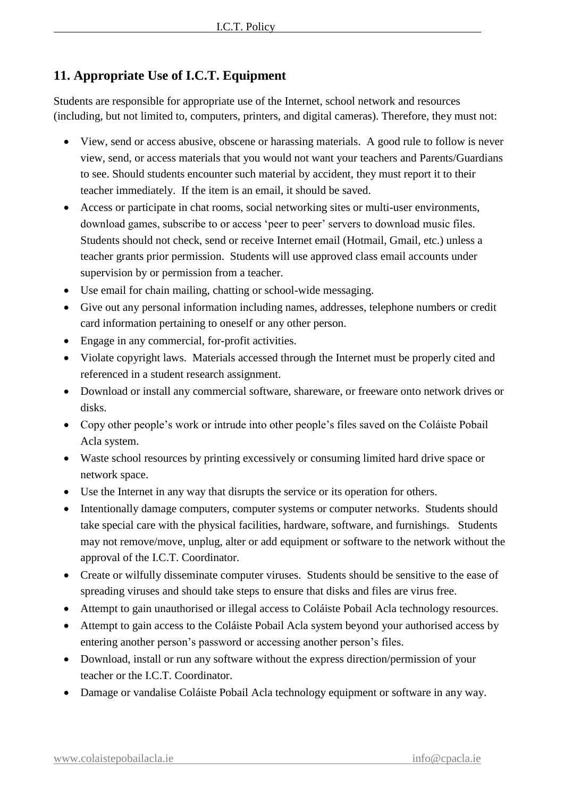## **11. Appropriate Use of I.C.T. Equipment**

Students are responsible for appropriate use of the Internet, school network and resources (including, but not limited to, computers, printers, and digital cameras). Therefore, they must not:

- View, send or access abusive, obscene or harassing materials. A good rule to follow is never view, send, or access materials that you would not want your teachers and Parents/Guardians to see. Should students encounter such material by accident, they must report it to their teacher immediately. If the item is an email, it should be saved.
- Access or participate in chat rooms, social networking sites or multi-user environments, download games, subscribe to or access 'peer to peer' servers to download music files. Students should not check, send or receive Internet email (Hotmail, Gmail, etc.) unless a teacher grants prior permission. Students will use approved class email accounts under supervision by or permission from a teacher.
- Use email for chain mailing, chatting or school-wide messaging.
- Give out any personal information including names, addresses, telephone numbers or credit card information pertaining to oneself or any other person.
- Engage in any commercial, for-profit activities.
- Violate copyright laws. Materials accessed through the Internet must be properly cited and referenced in a student research assignment.
- Download or install any commercial software, shareware, or freeware onto network drives or disks.
- Copy other people's work or intrude into other people's files saved on the Coláiste Pobail Acla system.
- Waste school resources by printing excessively or consuming limited hard drive space or network space.
- Use the Internet in any way that disrupts the service or its operation for others.
- Intentionally damage computers, computer systems or computer networks. Students should take special care with the physical facilities, hardware, software, and furnishings. Students may not remove/move, unplug, alter or add equipment or software to the network without the approval of the I.C.T. Coordinator.
- Create or wilfully disseminate computer viruses. Students should be sensitive to the ease of spreading viruses and should take steps to ensure that disks and files are virus free.
- Attempt to gain unauthorised or illegal access to Coláiste Pobail Acla technology resources.
- Attempt to gain access to the Coláiste Pobail Acla system beyond your authorised access by entering another person's password or accessing another person's files.
- Download, install or run any software without the express direction/permission of your teacher or the I.C.T. Coordinator.
- Damage or vandalise Coláiste Pobail Acla technology equipment or software in any way.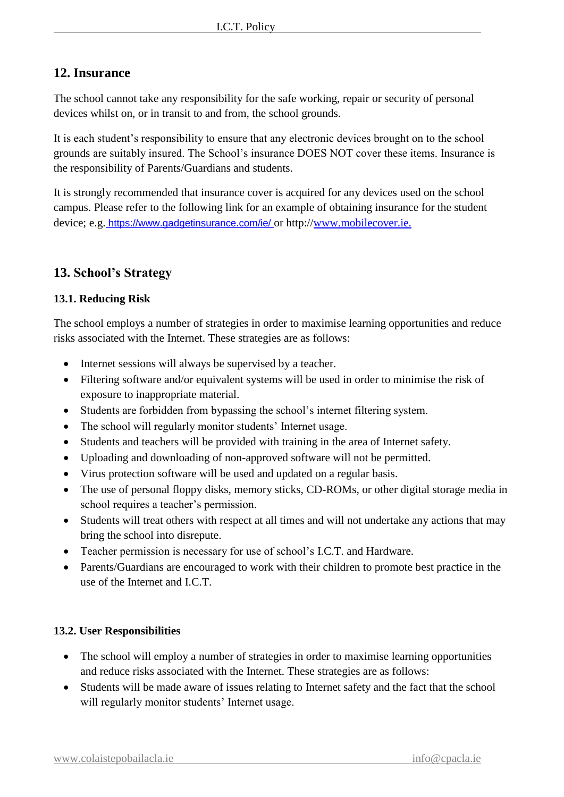## **12. Insurance**

The school cannot take any responsibility for the safe working, repair or security of personal devices whilst on, or in transit to and from, the school grounds.

It is each student's responsibility to ensure that any electronic devices brought on to the school grounds are suitably insured. The School's insurance DOES NOT cover these items. Insurance is the responsibility of Parents/Guardians and students.

It is strongly recommended that insurance cover is acquired for any devices used on the school campus. Please refer to the following link for an example of obtaining insurance for the student device; e.g. <https://www.gadgetinsurance.com/ie/> or http:/[/www.mobilecover.ie.](http://www.mobilecover.ie/)

## **13. School's Strategy**

#### **13.1. Reducing Risk**

The school employs a number of strategies in order to maximise learning opportunities and reduce risks associated with the Internet. These strategies are as follows:

- Internet sessions will always be supervised by a teacher.
- Filtering software and/or equivalent systems will be used in order to minimise the risk of exposure to inappropriate material.
- Students are forbidden from bypassing the school's internet filtering system.
- The school will regularly monitor students' Internet usage.
- Students and teachers will be provided with training in the area of Internet safety.
- Uploading and downloading of non-approved software will not be permitted.
- Virus protection software will be used and updated on a regular basis.
- The use of personal floppy disks, memory sticks, CD-ROMs, or other digital storage media in school requires a teacher's permission.
- Students will treat others with respect at all times and will not undertake any actions that may bring the school into disrepute.
- Teacher permission is necessary for use of school's I.C.T. and Hardware.
- Parents/Guardians are encouraged to work with their children to promote best practice in the use of the Internet and I.C.T.

#### **13.2. User Responsibilities**

- The school will employ a number of strategies in order to maximise learning opportunities and reduce risks associated with the Internet. These strategies are as follows:
- Students will be made aware of issues relating to Internet safety and the fact that the school will regularly monitor students' Internet usage.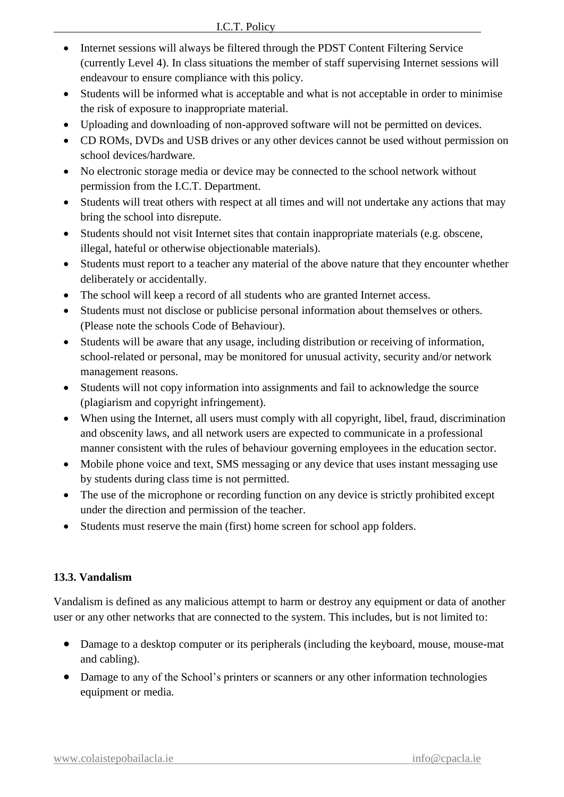- Internet sessions will always be filtered through the PDST Content Filtering Service (currently Level 4). In class situations the member of staff supervising Internet sessions will endeavour to ensure compliance with this policy.
- Students will be informed what is acceptable and what is not acceptable in order to minimise the risk of exposure to inappropriate material.
- Uploading and downloading of non-approved software will not be permitted on devices.
- CD ROMs, DVDs and USB drives or any other devices cannot be used without permission on school devices/hardware.
- No electronic storage media or device may be connected to the school network without permission from the I.C.T. Department.
- Students will treat others with respect at all times and will not undertake any actions that may bring the school into disrepute.
- Students should not visit Internet sites that contain inappropriate materials (e.g. obscene, illegal, hateful or otherwise objectionable materials).
- Students must report to a teacher any material of the above nature that they encounter whether deliberately or accidentally.
- The school will keep a record of all students who are granted Internet access.
- Students must not disclose or publicise personal information about themselves or others. (Please note the schools Code of Behaviour).
- Students will be aware that any usage, including distribution or receiving of information, school-related or personal, may be monitored for unusual activity, security and/or network management reasons.
- Students will not copy information into assignments and fail to acknowledge the source (plagiarism and copyright infringement).
- When using the Internet, all users must comply with all copyright, libel, fraud, discrimination and obscenity laws, and all network users are expected to communicate in a professional manner consistent with the rules of behaviour governing employees in the education sector.
- Mobile phone voice and text, SMS messaging or any device that uses instant messaging use by students during class time is not permitted.
- The use of the microphone or recording function on any device is strictly prohibited except under the direction and permission of the teacher.
- Students must reserve the main (first) home screen for school app folders.

#### **13.3. Vandalism**

Vandalism is defined as any malicious attempt to harm or destroy any equipment or data of another user or any other networks that are connected to the system. This includes, but is not limited to:

- Damage to a desktop computer or its peripherals (including the keyboard, mouse, mouse-mat and cabling).
- Damage to any of the School's printers or scanners or any other information technologies equipment or media.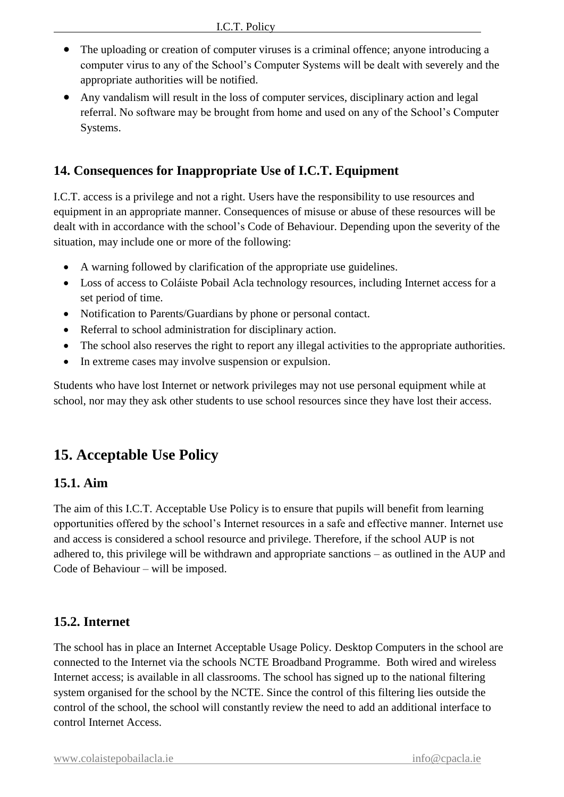- The uploading or creation of computer viruses is a criminal offence; anyone introducing a computer virus to any of the School's Computer Systems will be dealt with severely and the appropriate authorities will be notified.
- Any vandalism will result in the loss of computer services, disciplinary action and legal referral. No software may be brought from home and used on any of the School's Computer Systems.

## **14. Consequences for Inappropriate Use of I.C.T. Equipment**

I.C.T. access is a privilege and not a right. Users have the responsibility to use resources and equipment in an appropriate manner. Consequences of misuse or abuse of these resources will be dealt with in accordance with the school's Code of Behaviour. Depending upon the severity of the situation, may include one or more of the following:

- A warning followed by clarification of the appropriate use guidelines.
- Loss of access to Coláiste Pobail Acla technology resources, including Internet access for a set period of time.
- Notification to Parents/Guardians by phone or personal contact.
- Referral to school administration for disciplinary action.
- The school also reserves the right to report any illegal activities to the appropriate authorities.
- In extreme cases may involve suspension or expulsion.

Students who have lost Internet or network privileges may not use personal equipment while at school, nor may they ask other students to use school resources since they have lost their access.

## **15. Acceptable Use Policy**

#### **15.1. Aim**

The aim of this I.C.T. Acceptable Use Policy is to ensure that pupils will benefit from learning opportunities offered by the school's Internet resources in a safe and effective manner. Internet use and access is considered a school resource and privilege. Therefore, if the school AUP is not adhered to, this privilege will be withdrawn and appropriate sanctions – as outlined in the AUP and Code of Behaviour – will be imposed.

#### **15.2. Internet**

The school has in place an Internet Acceptable Usage Policy. Desktop Computers in the school are connected to the Internet via the schools NCTE Broadband Programme. Both wired and wireless Internet access; is available in all classrooms. The school has signed up to the national filtering system organised for the school by the NCTE. Since the control of this filtering lies outside the control of the school, the school will constantly review the need to add an additional interface to control Internet Access.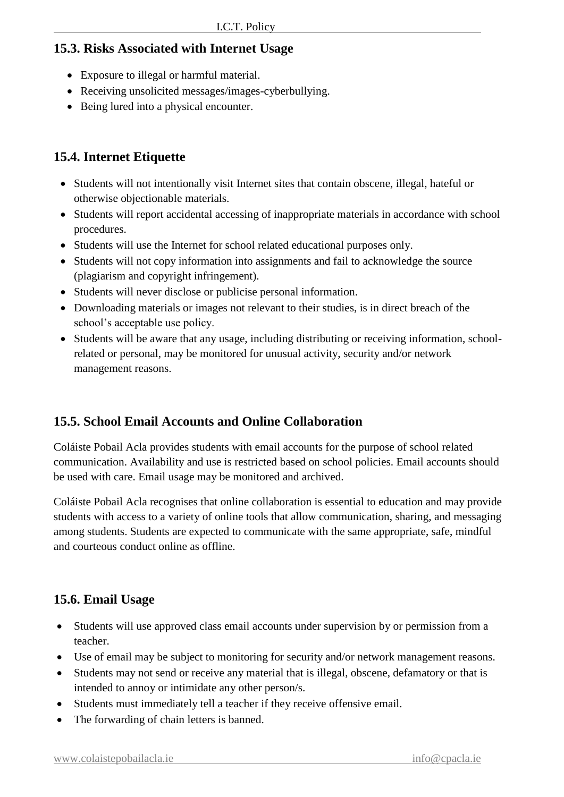## **15.3. Risks Associated with Internet Usage**

- Exposure to illegal or harmful material.
- Receiving unsolicited messages/images-cyberbullying.
- Being lured into a physical encounter.

## **15.4. Internet Etiquette**

- Students will not intentionally visit Internet sites that contain obscene, illegal, hateful or otherwise objectionable materials.
- Students will report accidental accessing of inappropriate materials in accordance with school procedures.
- Students will use the Internet for school related educational purposes only.
- Students will not copy information into assignments and fail to acknowledge the source (plagiarism and copyright infringement).
- Students will never disclose or publicise personal information.
- Downloading materials or images not relevant to their studies, is in direct breach of the school's acceptable use policy.
- Students will be aware that any usage, including distributing or receiving information, schoolrelated or personal, may be monitored for unusual activity, security and/or network management reasons.

## **15.5. School Email Accounts and Online Collaboration**

Coláiste Pobail Acla provides students with email accounts for the purpose of school related communication. Availability and use is restricted based on school policies. Email accounts should be used with care. Email usage may be monitored and archived.

Coláiste Pobail Acla recognises that online collaboration is essential to education and may provide students with access to a variety of online tools that allow communication, sharing, and messaging among students. Students are expected to communicate with the same appropriate, safe, mindful and courteous conduct online as offline.

## **15.6. Email Usage**

- Students will use approved class email accounts under supervision by or permission from a teacher.
- Use of email may be subject to monitoring for security and/or network management reasons.
- Students may not send or receive any material that is illegal, obscene, defamatory or that is intended to annoy or intimidate any other person/s.
- Students must immediately tell a teacher if they receive offensive email.
- The forwarding of chain letters is banned.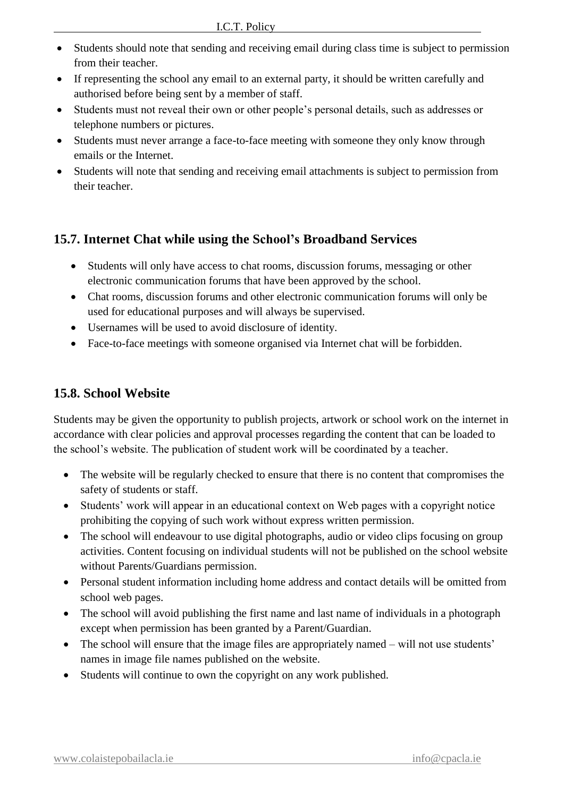- Students should note that sending and receiving email during class time is subject to permission from their teacher.
- If representing the school any email to an external party, it should be written carefully and authorised before being sent by a member of staff.
- Students must not reveal their own or other people's personal details, such as addresses or telephone numbers or pictures.
- Students must never arrange a face-to-face meeting with someone they only know through emails or the Internet.
- Students will note that sending and receiving email attachments is subject to permission from their teacher.

## **15.7. Internet Chat while using the School's Broadband Services**

- Students will only have access to chat rooms, discussion forums, messaging or other electronic communication forums that have been approved by the school.
- Chat rooms, discussion forums and other electronic communication forums will only be used for educational purposes and will always be supervised.
- Usernames will be used to avoid disclosure of identity.
- Face-to-face meetings with someone organised via Internet chat will be forbidden.

## **15.8. School Website**

Students may be given the opportunity to publish projects, artwork or school work on the internet in accordance with clear policies and approval processes regarding the content that can be loaded to the school's website. The publication of student work will be coordinated by a teacher.

- The website will be regularly checked to ensure that there is no content that compromises the safety of students or staff.
- Students' work will appear in an educational context on Web pages with a copyright notice prohibiting the copying of such work without express written permission.
- The school will endeavour to use digital photographs, audio or video clips focusing on group activities. Content focusing on individual students will not be published on the school website without Parents/Guardians permission.
- Personal student information including home address and contact details will be omitted from school web pages.
- The school will avoid publishing the first name and last name of individuals in a photograph except when permission has been granted by a Parent/Guardian.
- The school will ensure that the image files are appropriately named will not use students' names in image file names published on the website.
- Students will continue to own the copyright on any work published.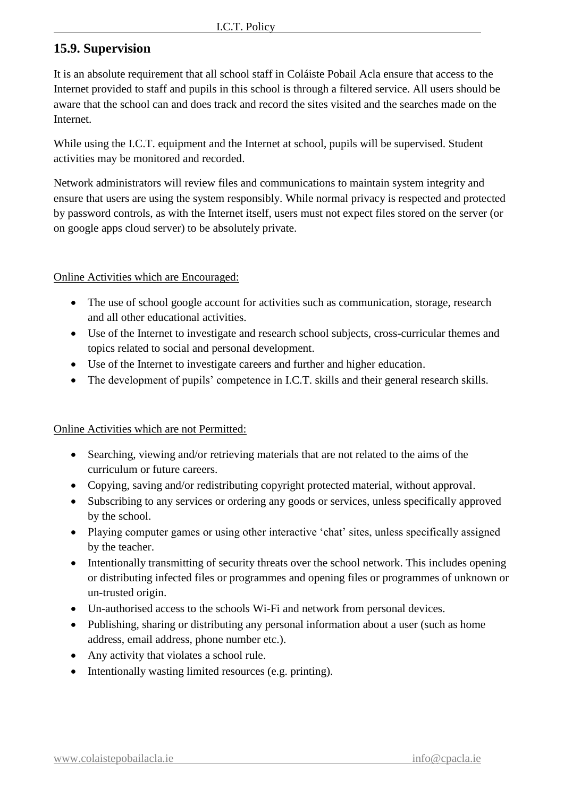## **15.9. Supervision**

It is an absolute requirement that all school staff in Coláiste Pobail Acla ensure that access to the Internet provided to staff and pupils in this school is through a filtered service. All users should be aware that the school can and does track and record the sites visited and the searches made on the Internet.

While using the I.C.T. equipment and the Internet at school, pupils will be supervised. Student activities may be monitored and recorded.

Network administrators will review files and communications to maintain system integrity and ensure that users are using the system responsibly. While normal privacy is respected and protected by password controls, as with the Internet itself, users must not expect files stored on the server (or on google apps cloud server) to be absolutely private.

#### Online Activities which are Encouraged:

- The use of school google account for activities such as communication, storage, research and all other educational activities.
- Use of the Internet to investigate and research school subjects, cross-curricular themes and topics related to social and personal development.
- Use of the Internet to investigate careers and further and higher education.
- The development of pupils' competence in I.C.T. skills and their general research skills.

#### Online Activities which are not Permitted:

- Searching, viewing and/or retrieving materials that are not related to the aims of the curriculum or future careers.
- Copying, saving and/or redistributing copyright protected material, without approval.
- Subscribing to any services or ordering any goods or services, unless specifically approved by the school.
- Playing computer games or using other interactive 'chat' sites, unless specifically assigned by the teacher.
- Intentionally transmitting of security threats over the school network. This includes opening or distributing infected files or programmes and opening files or programmes of unknown or un-trusted origin.
- Un-authorised access to the schools Wi-Fi and network from personal devices.
- Publishing, sharing or distributing any personal information about a user (such as home address, email address, phone number etc.).
- Any activity that violates a school rule.
- Intentionally wasting limited resources (e.g. printing).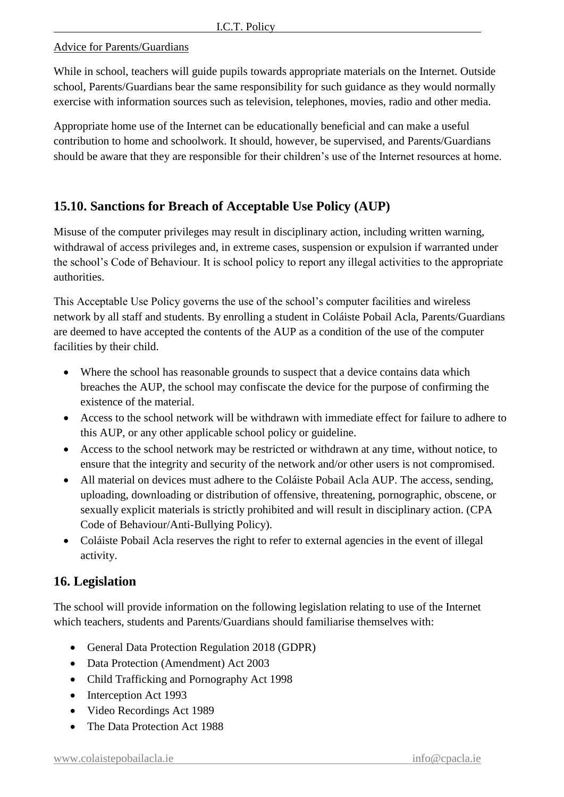#### Advice for Parents/Guardians

While in school, teachers will guide pupils towards appropriate materials on the Internet. Outside school, Parents/Guardians bear the same responsibility for such guidance as they would normally exercise with information sources such as television, telephones, movies, radio and other media.

Appropriate home use of the Internet can be educationally beneficial and can make a useful contribution to home and schoolwork. It should, however, be supervised, and Parents/Guardians should be aware that they are responsible for their children's use of the Internet resources at home.

## **15.10. Sanctions for Breach of Acceptable Use Policy (AUP)**

Misuse of the computer privileges may result in disciplinary action, including written warning, withdrawal of access privileges and, in extreme cases, suspension or expulsion if warranted under the school's Code of Behaviour. It is school policy to report any illegal activities to the appropriate authorities.

This Acceptable Use Policy governs the use of the school's computer facilities and wireless network by all staff and students. By enrolling a student in Coláiste Pobail Acla, Parents/Guardians are deemed to have accepted the contents of the AUP as a condition of the use of the computer facilities by their child.

- Where the school has reasonable grounds to suspect that a device contains data which breaches the AUP, the school may confiscate the device for the purpose of confirming the existence of the material.
- Access to the school network will be withdrawn with immediate effect for failure to adhere to this AUP, or any other applicable school policy or guideline.
- Access to the school network may be restricted or withdrawn at any time, without notice, to ensure that the integrity and security of the network and/or other users is not compromised.
- All material on devices must adhere to the Coláiste Pobail Acla AUP. The access, sending, uploading, downloading or distribution of offensive, threatening, pornographic, obscene, or sexually explicit materials is strictly prohibited and will result in disciplinary action. (CPA Code of Behaviour/Anti-Bullying Policy).
- Coláiste Pobail Acla reserves the right to refer to external agencies in the event of illegal activity.

## **16. Legislation**

The school will provide information on the following legislation relating to use of the Internet which teachers, students and Parents/Guardians should familiarise themselves with:

- General Data Protection Regulation 2018 (GDPR)
- Data Protection (Amendment) Act 2003
- Child Trafficking and Pornography Act 1998
- Interception Act 1993
- Video Recordings Act 1989
- The Data Protection Act 1988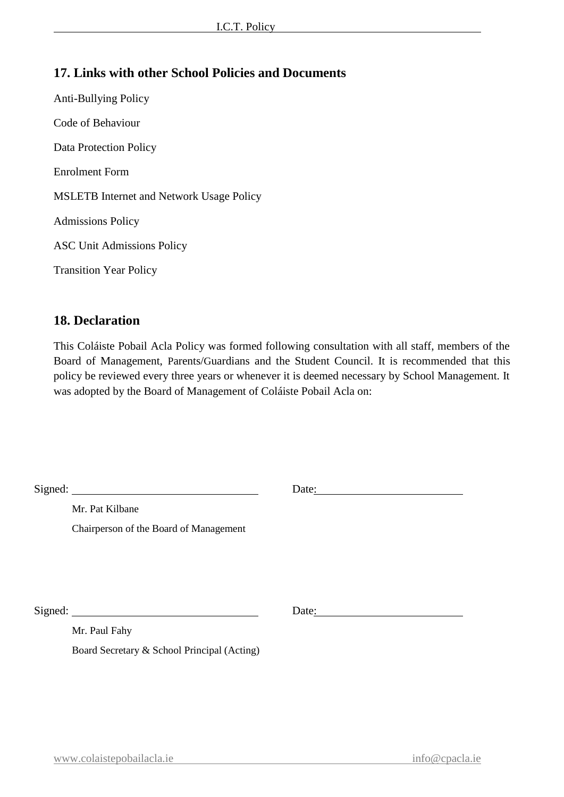## **17. Links with other School Policies and Documents**

Anti-Bullying Policy Code of Behaviour Data Protection Policy Enrolment Form MSLETB Internet and Network Usage Policy Admissions Policy ASC Unit Admissions Policy Transition Year Policy

#### **18. Declaration**

This Coláiste Pobail Acla Policy was formed following consultation with all staff, members of the Board of Management, Parents/Guardians and the Student Council. It is recommended that this policy be reviewed every three years or whenever it is deemed necessary by School Management. It was adopted by the Board of Management of Coláiste Pobail Acla on:

| Signed:                                     | Date: |
|---------------------------------------------|-------|
| Mr. Pat Kilbane                             |       |
| Chairperson of the Board of Management      |       |
|                                             |       |
|                                             |       |
|                                             |       |
|                                             | Date: |
| Mr. Paul Fahy                               |       |
| Board Secretary & School Principal (Acting) |       |
|                                             |       |
|                                             |       |
|                                             |       |